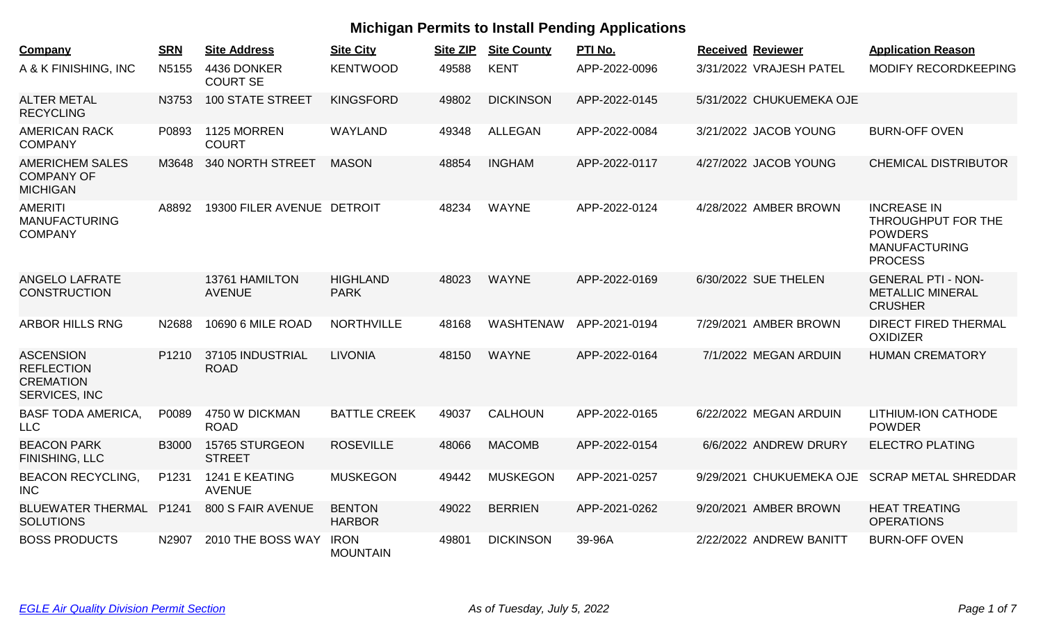| <b>Company</b>                                                             | <b>SRN</b>        | <b>Site Address</b>             | <b>Site City</b>               | <b>Site ZIP</b> | <b>Site County</b> | PTI No.       | <b>Received Reviewer</b> | <b>Application Reason</b>                                                                            |
|----------------------------------------------------------------------------|-------------------|---------------------------------|--------------------------------|-----------------|--------------------|---------------|--------------------------|------------------------------------------------------------------------------------------------------|
| A & K FINISHING, INC                                                       | N5155             | 4436 DONKER<br><b>COURT SE</b>  | <b>KENTWOOD</b>                | 49588           | <b>KENT</b>        | APP-2022-0096 | 3/31/2022 VRAJESH PATEL  | <b>MODIFY RECORDKEEPING</b>                                                                          |
| <b>ALTER METAL</b><br><b>RECYCLING</b>                                     | N3753             | <b>100 STATE STREET</b>         | <b>KINGSFORD</b>               | 49802           | <b>DICKINSON</b>   | APP-2022-0145 | 5/31/2022 CHUKUEMEKA OJE |                                                                                                      |
| <b>AMERICAN RACK</b><br><b>COMPANY</b>                                     | P0893             | 1125 MORREN<br><b>COURT</b>     | WAYLAND                        | 49348           | <b>ALLEGAN</b>     | APP-2022-0084 | 3/21/2022 JACOB YOUNG    | <b>BURN-OFF OVEN</b>                                                                                 |
| <b>AMERICHEM SALES</b><br><b>COMPANY OF</b><br><b>MICHIGAN</b>             | M3648             | 340 NORTH STREET                | <b>MASON</b>                   | 48854           | <b>INGHAM</b>      | APP-2022-0117 | 4/27/2022 JACOB YOUNG    | <b>CHEMICAL DISTRIBUTOR</b>                                                                          |
| <b>AMERITI</b><br><b>MANUFACTURING</b><br><b>COMPANY</b>                   | A8892             | 19300 FILER AVENUE DETROIT      |                                | 48234           | <b>WAYNE</b>       | APP-2022-0124 | 4/28/2022 AMBER BROWN    | <b>INCREASE IN</b><br>THROUGHPUT FOR THE<br><b>POWDERS</b><br><b>MANUFACTURING</b><br><b>PROCESS</b> |
| <b>ANGELO LAFRATE</b><br><b>CONSTRUCTION</b>                               |                   | 13761 HAMILTON<br><b>AVENUE</b> | <b>HIGHLAND</b><br><b>PARK</b> | 48023           | <b>WAYNE</b>       | APP-2022-0169 | 6/30/2022 SUE THELEN     | <b>GENERAL PTI - NON-</b><br><b>METALLIC MINERAL</b><br><b>CRUSHER</b>                               |
| <b>ARBOR HILLS RNG</b>                                                     | N2688             | 10690 6 MILE ROAD               | <b>NORTHVILLE</b>              | 48168           | WASHTENAW          | APP-2021-0194 | 7/29/2021 AMBER BROWN    | <b>DIRECT FIRED THERMAL</b><br><b>OXIDIZER</b>                                                       |
| <b>ASCENSION</b><br><b>REFLECTION</b><br><b>CREMATION</b><br>SERVICES, INC | P <sub>1210</sub> | 37105 INDUSTRIAL<br><b>ROAD</b> | <b>LIVONIA</b>                 | 48150           | <b>WAYNE</b>       | APP-2022-0164 | 7/1/2022 MEGAN ARDUIN    | <b>HUMAN CREMATORY</b>                                                                               |
| <b>BASF TODA AMERICA,</b><br><b>LLC</b>                                    | P0089             | 4750 W DICKMAN<br><b>ROAD</b>   | <b>BATTLE CREEK</b>            | 49037           | <b>CALHOUN</b>     | APP-2022-0165 | 6/22/2022 MEGAN ARDUIN   | <b>LITHIUM-ION CATHODE</b><br><b>POWDER</b>                                                          |
| <b>BEACON PARK</b><br>FINISHING, LLC                                       | <b>B3000</b>      | 15765 STURGEON<br><b>STREET</b> | <b>ROSEVILLE</b>               | 48066           | <b>MACOMB</b>      | APP-2022-0154 | 6/6/2022 ANDREW DRURY    | <b>ELECTRO PLATING</b>                                                                               |
| <b>BEACON RECYCLING,</b><br><b>INC</b>                                     | P <sub>1231</sub> | 1241 E KEATING<br><b>AVENUE</b> | <b>MUSKEGON</b>                | 49442           | <b>MUSKEGON</b>    | APP-2021-0257 | 9/29/2021 CHUKUEMEKA OJE | <b>SCRAP METAL SHREDDAR</b>                                                                          |
| <b>BLUEWATER THERMAL</b><br><b>SOLUTIONS</b>                               | P1241             | 800 S FAIR AVENUE               | <b>BENTON</b><br><b>HARBOR</b> | 49022           | <b>BERRIEN</b>     | APP-2021-0262 | 9/20/2021 AMBER BROWN    | <b>HEAT TREATING</b><br><b>OPERATIONS</b>                                                            |
| <b>BOSS PRODUCTS</b>                                                       | N2907             | 2010 THE BOSS WAY               | <b>IRON</b><br><b>MOUNTAIN</b> | 49801           | <b>DICKINSON</b>   | 39-96A        | 2/22/2022 ANDREW BANITT  | <b>BURN-OFF OVEN</b>                                                                                 |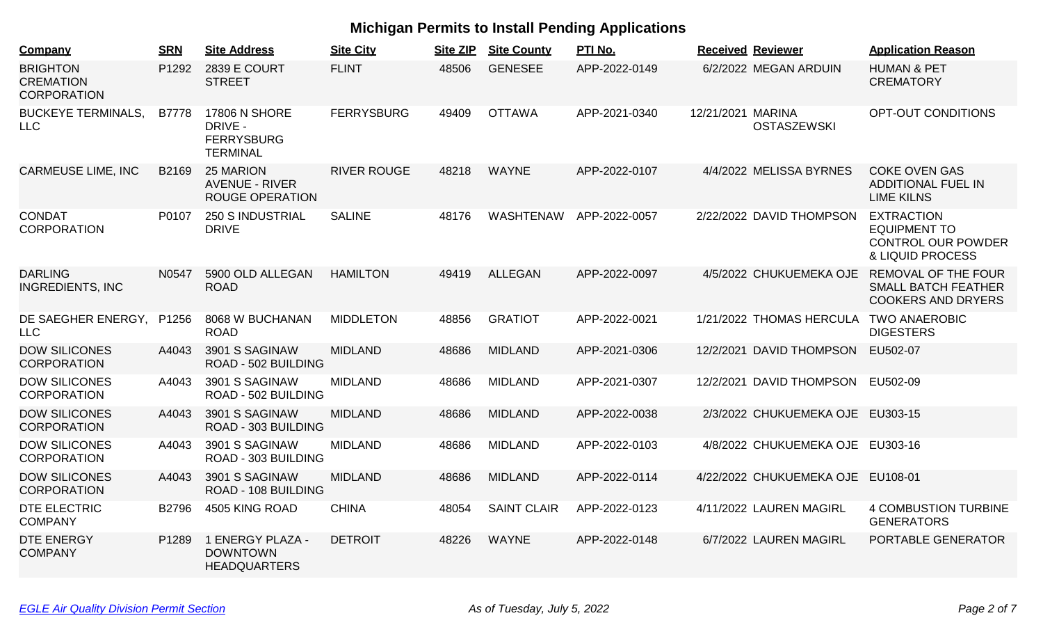| Company                                                   | <b>SRN</b>        | <b>Site Address</b>                                                 | <b>Site City</b>   | <b>Site ZIP</b> | <b>Site County</b> | PTI No.       | <b>Received Reviewer</b>                | <b>Application Reason</b>                                                                 |
|-----------------------------------------------------------|-------------------|---------------------------------------------------------------------|--------------------|-----------------|--------------------|---------------|-----------------------------------------|-------------------------------------------------------------------------------------------|
| <b>BRIGHTON</b><br><b>CREMATION</b><br><b>CORPORATION</b> | P1292             | <b>2839 E COURT</b><br><b>STREET</b>                                | <b>FLINT</b>       | 48506           | <b>GENESEE</b>     | APP-2022-0149 | 6/2/2022 MEGAN ARDUIN                   | <b>HUMAN &amp; PET</b><br><b>CREMATORY</b>                                                |
| <b>BUCKEYE TERMINALS,</b><br><b>LLC</b>                   | <b>B7778</b>      | 17806 N SHORE<br>DRIVE -<br><b>FERRYSBURG</b><br><b>TERMINAL</b>    | <b>FERRYSBURG</b>  | 49409           | <b>OTTAWA</b>      | APP-2021-0340 | 12/21/2021 MARINA<br><b>OSTASZEWSKI</b> | OPT-OUT CONDITIONS                                                                        |
| <b>CARMEUSE LIME, INC</b>                                 | B <sub>2169</sub> | <b>25 MARION</b><br><b>AVENUE - RIVER</b><br><b>ROUGE OPERATION</b> | <b>RIVER ROUGE</b> | 48218           | <b>WAYNE</b>       | APP-2022-0107 | 4/4/2022 MELISSA BYRNES                 | <b>COKE OVEN GAS</b><br><b>ADDITIONAL FUEL IN</b><br><b>LIME KILNS</b>                    |
| <b>CONDAT</b><br><b>CORPORATION</b>                       | P0107             | <b>250 S INDUSTRIAL</b><br><b>DRIVE</b>                             | <b>SALINE</b>      | 48176           | <b>WASHTENAW</b>   | APP-2022-0057 | 2/22/2022 DAVID THOMPSON                | <b>EXTRACTION</b><br><b>EQUIPMENT TO</b><br><b>CONTROL OUR POWDER</b><br>& LIQUID PROCESS |
| <b>DARLING</b><br><b>INGREDIENTS, INC</b>                 | N0547             | 5900 OLD ALLEGAN<br><b>ROAD</b>                                     | <b>HAMILTON</b>    | 49419           | <b>ALLEGAN</b>     | APP-2022-0097 | 4/5/2022 CHUKUEMEKA OJE                 | <b>REMOVAL OF THE FOUR</b><br><b>SMALL BATCH FEATHER</b><br><b>COOKERS AND DRYERS</b>     |
| DE SAEGHER ENERGY,<br><b>LLC</b>                          | P1256             | 8068 W BUCHANAN<br><b>ROAD</b>                                      | <b>MIDDLETON</b>   | 48856           | <b>GRATIOT</b>     | APP-2022-0021 | 1/21/2022 THOMAS HERCULA                | <b>TWO ANAEROBIC</b><br><b>DIGESTERS</b>                                                  |
| <b>DOW SILICONES</b><br><b>CORPORATION</b>                | A4043             | 3901 S SAGINAW<br>ROAD - 502 BUILDING                               | <b>MIDLAND</b>     | 48686           | <b>MIDLAND</b>     | APP-2021-0306 | 12/2/2021 DAVID THOMPSON                | EU502-07                                                                                  |
| <b>DOW SILICONES</b><br><b>CORPORATION</b>                | A4043             | 3901 S SAGINAW<br>ROAD - 502 BUILDING                               | <b>MIDLAND</b>     | 48686           | <b>MIDLAND</b>     | APP-2021-0307 | 12/2/2021 DAVID THOMPSON EU502-09       |                                                                                           |
| <b>DOW SILICONES</b><br><b>CORPORATION</b>                | A4043             | 3901 S SAGINAW<br>ROAD - 303 BUILDING                               | <b>MIDLAND</b>     | 48686           | <b>MIDLAND</b>     | APP-2022-0038 | 2/3/2022 CHUKUEMEKA OJE EU303-15        |                                                                                           |
| <b>DOW SILICONES</b><br><b>CORPORATION</b>                | A4043             | 3901 S SAGINAW<br>ROAD - 303 BUILDING                               | <b>MIDLAND</b>     | 48686           | <b>MIDLAND</b>     | APP-2022-0103 | 4/8/2022 CHUKUEMEKA OJE EU303-16        |                                                                                           |
| <b>DOW SILICONES</b><br><b>CORPORATION</b>                | A4043             | 3901 S SAGINAW<br>ROAD - 108 BUILDING                               | <b>MIDLAND</b>     | 48686           | <b>MIDLAND</b>     | APP-2022-0114 | 4/22/2022 CHUKUEMEKA OJE EU108-01       |                                                                                           |
| <b>DTE ELECTRIC</b><br><b>COMPANY</b>                     | B2796             | 4505 KING ROAD                                                      | <b>CHINA</b>       | 48054           | <b>SAINT CLAIR</b> | APP-2022-0123 | 4/11/2022 LAUREN MAGIRL                 | <b>4 COMBUSTION TURBINE</b><br><b>GENERATORS</b>                                          |
| <b>DTE ENERGY</b><br><b>COMPANY</b>                       | P1289             | 1 ENERGY PLAZA -<br><b>DOWNTOWN</b><br><b>HEADQUARTERS</b>          | <b>DETROIT</b>     | 48226           | <b>WAYNE</b>       | APP-2022-0148 | 6/7/2022 LAUREN MAGIRL                  | PORTABLE GENERATOR                                                                        |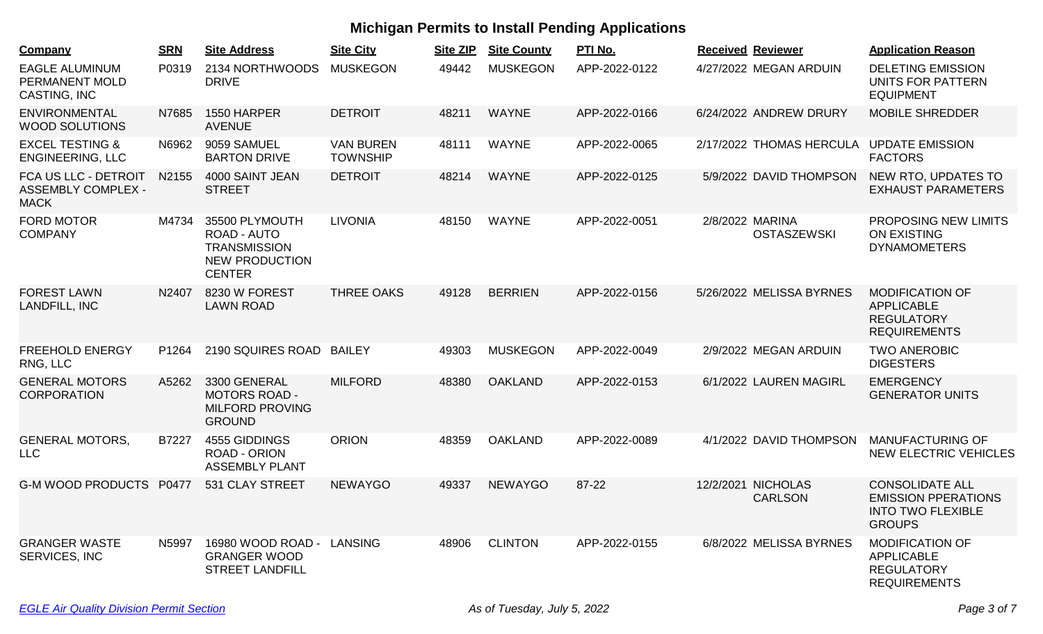| Company                                                          | <b>SRN</b> | <b>Site Address</b>                                                                            | <b>Site City</b>                    | <b>Site ZIP</b> | <b>Site County</b> | PTI No.       |                 | <b>Received Reviewer</b>             | <b>Application Reason</b>                                                                         |
|------------------------------------------------------------------|------------|------------------------------------------------------------------------------------------------|-------------------------------------|-----------------|--------------------|---------------|-----------------|--------------------------------------|---------------------------------------------------------------------------------------------------|
| <b>EAGLE ALUMINUM</b><br>PERMANENT MOLD<br>CASTING, INC          | P0319      | 2134 NORTHWOODS<br><b>DRIVE</b>                                                                | <b>MUSKEGON</b>                     | 49442           | <b>MUSKEGON</b>    | APP-2022-0122 |                 | 4/27/2022 MEGAN ARDUIN               | <b>DELETING EMISSION</b><br>UNITS FOR PATTERN<br><b>EQUIPMENT</b>                                 |
| <b>ENVIRONMENTAL</b><br><b>WOOD SOLUTIONS</b>                    | N7685      | 1550 HARPER<br><b>AVENUE</b>                                                                   | <b>DETROIT</b>                      | 48211           | <b>WAYNE</b>       | APP-2022-0166 |                 | 6/24/2022 ANDREW DRURY               | <b>MOBILE SHREDDER</b>                                                                            |
| <b>EXCEL TESTING &amp;</b><br><b>ENGINEERING, LLC</b>            | N6962      | 9059 SAMUEL<br><b>BARTON DRIVE</b>                                                             | <b>VAN BUREN</b><br><b>TOWNSHIP</b> | 48111           | <b>WAYNE</b>       | APP-2022-0065 |                 | 2/17/2022 THOMAS HERCULA             | <b>UPDATE EMISSION</b><br><b>FACTORS</b>                                                          |
| FCA US LLC - DETROIT<br><b>ASSEMBLY COMPLEX -</b><br><b>MACK</b> | N2155      | 4000 SAINT JEAN<br><b>STREET</b>                                                               | <b>DETROIT</b>                      | 48214           | <b>WAYNE</b>       | APP-2022-0125 |                 | 5/9/2022 DAVID THOMPSON              | NEW RTO, UPDATES TO<br><b>EXHAUST PARAMETERS</b>                                                  |
| <b>FORD MOTOR</b><br><b>COMPANY</b>                              | M4734      | 35500 PLYMOUTH<br>ROAD - AUTO<br><b>TRANSMISSION</b><br><b>NEW PRODUCTION</b><br><b>CENTER</b> | <b>LIVONIA</b>                      | 48150           | <b>WAYNE</b>       | APP-2022-0051 | 2/8/2022 MARINA | <b>OSTASZEWSKI</b>                   | PROPOSING NEW LIMITS<br><b>ON EXISTING</b><br><b>DYNAMOMETERS</b>                                 |
| <b>FOREST LAWN</b><br>LANDFILL, INC                              | N2407      | 8230 W FOREST<br><b>LAWN ROAD</b>                                                              | <b>THREE OAKS</b>                   | 49128           | <b>BERRIEN</b>     | APP-2022-0156 |                 | 5/26/2022 MELISSA BYRNES             | <b>MODIFICATION OF</b><br><b>APPLICABLE</b><br><b>REGULATORY</b><br><b>REQUIREMENTS</b>           |
| <b>FREEHOLD ENERGY</b><br>RNG, LLC                               | P1264      | 2190 SQUIRES ROAD                                                                              | <b>BAILEY</b>                       | 49303           | <b>MUSKEGON</b>    | APP-2022-0049 |                 | 2/9/2022 MEGAN ARDUIN                | <b>TWO ANEROBIC</b><br><b>DIGESTERS</b>                                                           |
| <b>GENERAL MOTORS</b><br><b>CORPORATION</b>                      | A5262      | 3300 GENERAL<br><b>MOTORS ROAD -</b><br><b>MILFORD PROVING</b><br><b>GROUND</b>                | <b>MILFORD</b>                      | 48380           | <b>OAKLAND</b>     | APP-2022-0153 |                 | 6/1/2022 LAUREN MAGIRL               | <b>EMERGENCY</b><br><b>GENERATOR UNITS</b>                                                        |
| <b>GENERAL MOTORS,</b><br><b>LLC</b>                             | B7227      | 4555 GIDDINGS<br><b>ROAD - ORION</b><br><b>ASSEMBLY PLANT</b>                                  | <b>ORION</b>                        | 48359           | <b>OAKLAND</b>     | APP-2022-0089 |                 | 4/1/2022 DAVID THOMPSON              | <b>MANUFACTURING OF</b><br>NEW ELECTRIC VEHICLES                                                  |
| <b>G-M WOOD PRODUCTS</b>                                         | P0477      | 531 CLAY STREET                                                                                | <b>NEWAYGO</b>                      | 49337           | <b>NEWAYGO</b>     | 87-22         |                 | 12/2/2021 NICHOLAS<br><b>CARLSON</b> | <b>CONSOLIDATE ALL</b><br><b>EMISSION PPERATIONS</b><br><b>INTO TWO FLEXIBLE</b><br><b>GROUPS</b> |
| <b>GRANGER WASTE</b><br>SERVICES, INC                            | N5997      | 16980 WOOD ROAD - LANSING<br><b>GRANGER WOOD</b><br><b>STREET LANDFILL</b>                     |                                     | 48906           | <b>CLINTON</b>     | APP-2022-0155 |                 | 6/8/2022 MELISSA BYRNES              | <b>MODIFICATION OF</b><br><b>APPLICABLE</b><br><b>REGULATORY</b><br><b>REQUIREMENTS</b>           |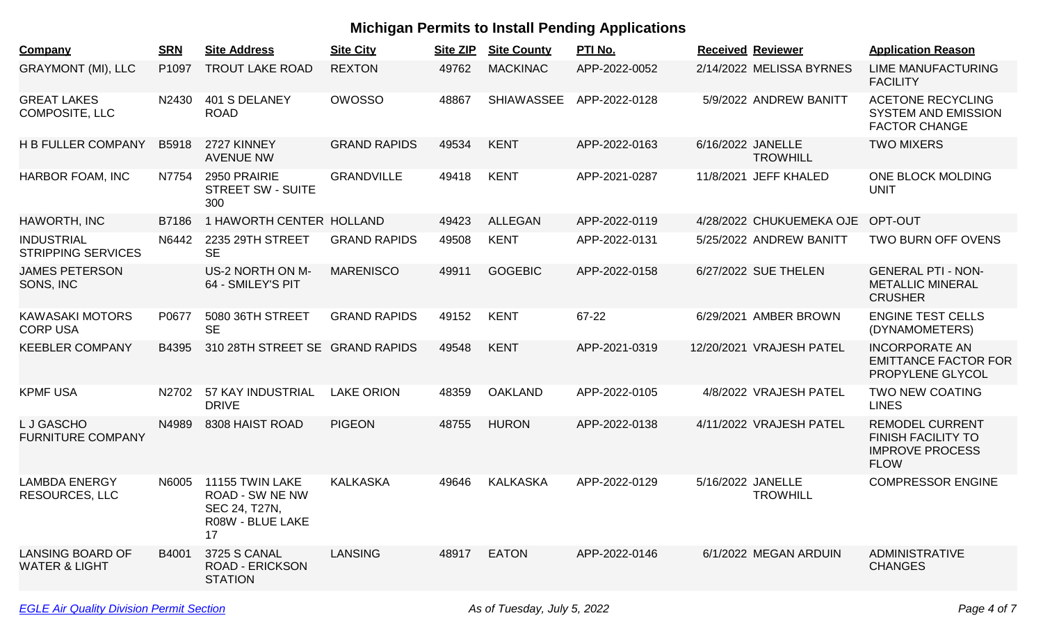| Company                                             | <b>SRN</b> | <b>Site Address</b>                                                                  | <b>Site City</b>    | <b>Site ZIP</b> | <b>Site County</b> | PTI No.       | <b>Received Reviewer</b>             | <b>Application Reason</b>                                                                    |
|-----------------------------------------------------|------------|--------------------------------------------------------------------------------------|---------------------|-----------------|--------------------|---------------|--------------------------------------|----------------------------------------------------------------------------------------------|
| <b>GRAYMONT (MI), LLC</b>                           | P1097      | <b>TROUT LAKE ROAD</b>                                                               | <b>REXTON</b>       | 49762           | <b>MACKINAC</b>    | APP-2022-0052 | 2/14/2022 MELISSA BYRNES             | <b>LIME MANUFACTURING</b><br><b>FACILITY</b>                                                 |
| <b>GREAT LAKES</b><br><b>COMPOSITE, LLC</b>         | N2430      | 401 S DELANEY<br><b>ROAD</b>                                                         | <b>OWOSSO</b>       | 48867           | <b>SHIAWASSEE</b>  | APP-2022-0128 | 5/9/2022 ANDREW BANITT               | <b>ACETONE RECYCLING</b><br><b>SYSTEM AND EMISSION</b><br><b>FACTOR CHANGE</b>               |
| <b>H B FULLER COMPANY</b>                           | B5918      | 2727 KINNEY<br><b>AVENUE NW</b>                                                      | <b>GRAND RAPIDS</b> | 49534           | <b>KENT</b>        | APP-2022-0163 | 6/16/2022 JANELLE<br><b>TROWHILL</b> | <b>TWO MIXERS</b>                                                                            |
| <b>HARBOR FOAM, INC</b>                             | N7754      | 2950 PRAIRIE<br><b>STREET SW - SUITE</b><br>300                                      | <b>GRANDVILLE</b>   | 49418           | <b>KENT</b>        | APP-2021-0287 | 11/8/2021 JEFF KHALED                | ONE BLOCK MOLDING<br><b>UNIT</b>                                                             |
| <b>HAWORTH, INC</b>                                 | B7186      | 1 HAWORTH CENTER HOLLAND                                                             |                     | 49423           | <b>ALLEGAN</b>     | APP-2022-0119 | 4/28/2022 CHUKUEMEKA OJE             | OPT-OUT                                                                                      |
| <b>INDUSTRIAL</b><br><b>STRIPPING SERVICES</b>      | N6442      | 2235 29TH STREET<br><b>SE</b>                                                        | <b>GRAND RAPIDS</b> | 49508           | <b>KENT</b>        | APP-2022-0131 | 5/25/2022 ANDREW BANITT              | TWO BURN OFF OVENS                                                                           |
| <b>JAMES PETERSON</b><br>SONS, INC                  |            | US-2 NORTH ON M-<br>64 - SMILEY'S PIT                                                | <b>MARENISCO</b>    | 49911           | <b>GOGEBIC</b>     | APP-2022-0158 | 6/27/2022 SUE THELEN                 | <b>GENERAL PTI - NON-</b><br><b>METALLIC MINERAL</b><br><b>CRUSHER</b>                       |
| <b>KAWASAKI MOTORS</b><br><b>CORP USA</b>           | P0677      | 5080 36TH STREET<br><b>SE</b>                                                        | <b>GRAND RAPIDS</b> | 49152           | <b>KENT</b>        | 67-22         | 6/29/2021 AMBER BROWN                | <b>ENGINE TEST CELLS</b><br>(DYNAMOMETERS)                                                   |
| <b>KEEBLER COMPANY</b>                              | B4395      | 310 28TH STREET SE GRAND RAPIDS                                                      |                     | 49548           | <b>KENT</b>        | APP-2021-0319 | 12/20/2021 VRAJESH PATEL             | <b>INCORPORATE AN</b><br><b>EMITTANCE FACTOR FOR</b><br>PROPYLENE GLYCOL                     |
| <b>KPMF USA</b>                                     | N2702      | 57 KAY INDUSTRIAL<br><b>DRIVE</b>                                                    | <b>LAKE ORION</b>   | 48359           | <b>OAKLAND</b>     | APP-2022-0105 | 4/8/2022 VRAJESH PATEL               | <b>TWO NEW COATING</b><br><b>LINES</b>                                                       |
| L J GASCHO<br><b>FURNITURE COMPANY</b>              | N4989      | 8308 HAIST ROAD                                                                      | <b>PIGEON</b>       | 48755           | <b>HURON</b>       | APP-2022-0138 | 4/11/2022 VRAJESH PATEL              | <b>REMODEL CURRENT</b><br><b>FINISH FACILITY TO</b><br><b>IMPROVE PROCESS</b><br><b>FLOW</b> |
| <b>LAMBDA ENERGY</b><br><b>RESOURCES, LLC</b>       | N6005      | 11155 TWIN LAKE<br><b>ROAD - SW NE NW</b><br>SEC 24, T27N,<br>R08W - BLUE LAKE<br>17 | <b>KALKASKA</b>     | 49646           | <b>KALKASKA</b>    | APP-2022-0129 | 5/16/2022 JANELLE<br><b>TROWHILL</b> | <b>COMPRESSOR ENGINE</b>                                                                     |
| <b>LANSING BOARD OF</b><br><b>WATER &amp; LIGHT</b> | B4001      | 3725 S CANAL<br><b>ROAD - ERICKSON</b><br><b>STATION</b>                             | <b>LANSING</b>      | 48917           | <b>EATON</b>       | APP-2022-0146 | 6/1/2022 MEGAN ARDUIN                | <b>ADMINISTRATIVE</b><br><b>CHANGES</b>                                                      |
|                                                     |            |                                                                                      |                     |                 |                    |               |                                      |                                                                                              |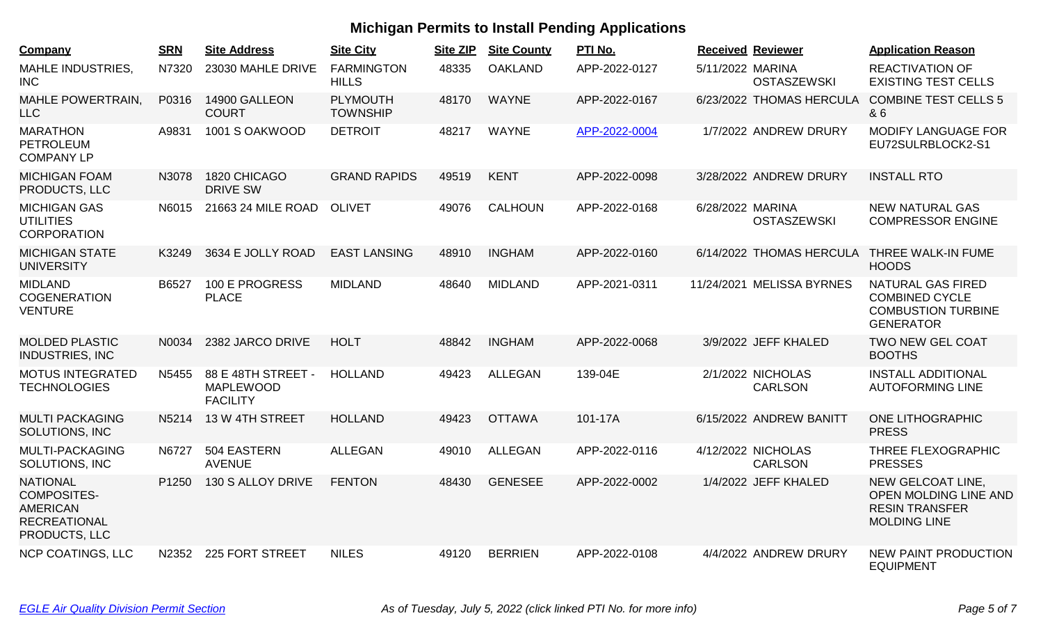| Company                                                                                          | <b>SRN</b> | <b>Site Address</b>                                       | <b>Site City</b>                  | <b>Site ZIP</b> | <b>Site County</b> | PTI No.       |                  | <b>Received Reviewer</b>             | <b>Application Reason</b>                                                                          |
|--------------------------------------------------------------------------------------------------|------------|-----------------------------------------------------------|-----------------------------------|-----------------|--------------------|---------------|------------------|--------------------------------------|----------------------------------------------------------------------------------------------------|
| <b>MAHLE INDUSTRIES,</b><br><b>INC</b>                                                           | N7320      | 23030 MAHLE DRIVE                                         | <b>FARMINGTON</b><br><b>HILLS</b> | 48335           | <b>OAKLAND</b>     | APP-2022-0127 | 5/11/2022 MARINA | <b>OSTASZEWSKI</b>                   | <b>REACTIVATION OF</b><br><b>EXISTING TEST CELLS</b>                                               |
| <b>MAHLE POWERTRAIN,</b><br><b>LLC</b>                                                           | P0316      | 14900 GALLEON<br><b>COURT</b>                             | PLYMOUTH<br><b>TOWNSHIP</b>       | 48170           | <b>WAYNE</b>       | APP-2022-0167 |                  | 6/23/2022 THOMAS HERCULA             | <b>COMBINE TEST CELLS 5</b><br>& 6                                                                 |
| <b>MARATHON</b><br><b>PETROLEUM</b><br><b>COMPANY LP</b>                                         | A9831      | 1001 S OAKWOOD                                            | <b>DETROIT</b>                    | 48217           | <b>WAYNE</b>       | APP-2022-0004 |                  | 1/7/2022 ANDREW DRURY                | <b>MODIFY LANGUAGE FOR</b><br>EU72SULRBLOCK2-S1                                                    |
| <b>MICHIGAN FOAM</b><br>PRODUCTS, LLC                                                            | N3078      | 1820 CHICAGO<br><b>DRIVE SW</b>                           | <b>GRAND RAPIDS</b>               | 49519           | <b>KENT</b>        | APP-2022-0098 |                  | 3/28/2022 ANDREW DRURY               | <b>INSTALL RTO</b>                                                                                 |
| <b>MICHIGAN GAS</b><br><b>UTILITIES</b><br><b>CORPORATION</b>                                    | N6015      | 21663 24 MILE ROAD                                        | <b>OLIVET</b>                     | 49076           | <b>CALHOUN</b>     | APP-2022-0168 | 6/28/2022 MARINA | <b>OSTASZEWSKI</b>                   | <b>NEW NATURAL GAS</b><br><b>COMPRESSOR ENGINE</b>                                                 |
| <b>MICHIGAN STATE</b><br><b>UNIVERSITY</b>                                                       | K3249      | 3634 E JOLLY ROAD                                         | <b>EAST LANSING</b>               | 48910           | <b>INGHAM</b>      | APP-2022-0160 |                  | 6/14/2022 THOMAS HERCULA             | THREE WALK-IN FUME<br><b>HOODS</b>                                                                 |
| <b>MIDLAND</b><br><b>COGENERATION</b><br><b>VENTURE</b>                                          | B6527      | 100 E PROGRESS<br><b>PLACE</b>                            | <b>MIDLAND</b>                    | 48640           | <b>MIDLAND</b>     | APP-2021-0311 |                  | 11/24/2021 MELISSA BYRNES            | <b>NATURAL GAS FIRED</b><br><b>COMBINED CYCLE</b><br><b>COMBUSTION TURBINE</b><br><b>GENERATOR</b> |
| <b>MOLDED PLASTIC</b><br><b>INDUSTRIES, INC</b>                                                  | N0034      | 2382 JARCO DRIVE                                          | <b>HOLT</b>                       | 48842           | <b>INGHAM</b>      | APP-2022-0068 |                  | 3/9/2022 JEFF KHALED                 | TWO NEW GEL COAT<br><b>BOOTHS</b>                                                                  |
| <b>MOTUS INTEGRATED</b><br><b>TECHNOLOGIES</b>                                                   | N5455      | 88 E 48TH STREET -<br><b>MAPLEWOOD</b><br><b>FACILITY</b> | <b>HOLLAND</b>                    | 49423           | <b>ALLEGAN</b>     | 139-04E       |                  | 2/1/2022 NICHOLAS<br><b>CARLSON</b>  | <b>INSTALL ADDITIONAL</b><br><b>AUTOFORMING LINE</b>                                               |
| <b>MULTI PACKAGING</b><br>SOLUTIONS, INC                                                         | N5214      | 13 W 4TH STREET                                           | <b>HOLLAND</b>                    | 49423           | <b>OTTAWA</b>      | 101-17A       |                  | 6/15/2022 ANDREW BANITT              | <b>ONE LITHOGRAPHIC</b><br><b>PRESS</b>                                                            |
| MULTI-PACKAGING<br>SOLUTIONS, INC                                                                | N6727      | 504 EASTERN<br><b>AVENUE</b>                              | <b>ALLEGAN</b>                    | 49010           | <b>ALLEGAN</b>     | APP-2022-0116 |                  | 4/12/2022 NICHOLAS<br><b>CARLSON</b> | THREE FLEXOGRAPHIC<br><b>PRESSES</b>                                                               |
| <b>NATIONAL</b><br><b>COMPOSITES-</b><br><b>AMERICAN</b><br><b>RECREATIONAL</b><br>PRODUCTS, LLC | P1250      | 130 S ALLOY DRIVE                                         | <b>FENTON</b>                     | 48430           | <b>GENESEE</b>     | APP-2022-0002 |                  | 1/4/2022 JEFF KHALED                 | NEW GELCOAT LINE,<br><b>OPEN MOLDING LINE AND</b><br><b>RESIN TRANSFER</b><br><b>MOLDING LINE</b>  |
| <b>NCP COATINGS, LLC</b>                                                                         | N2352      | 225 FORT STREET                                           | <b>NILES</b>                      | 49120           | <b>BERRIEN</b>     | APP-2022-0108 |                  | 4/4/2022 ANDREW DRURY                | <b>NEW PAINT PRODUCTION</b><br><b>EQUIPMENT</b>                                                    |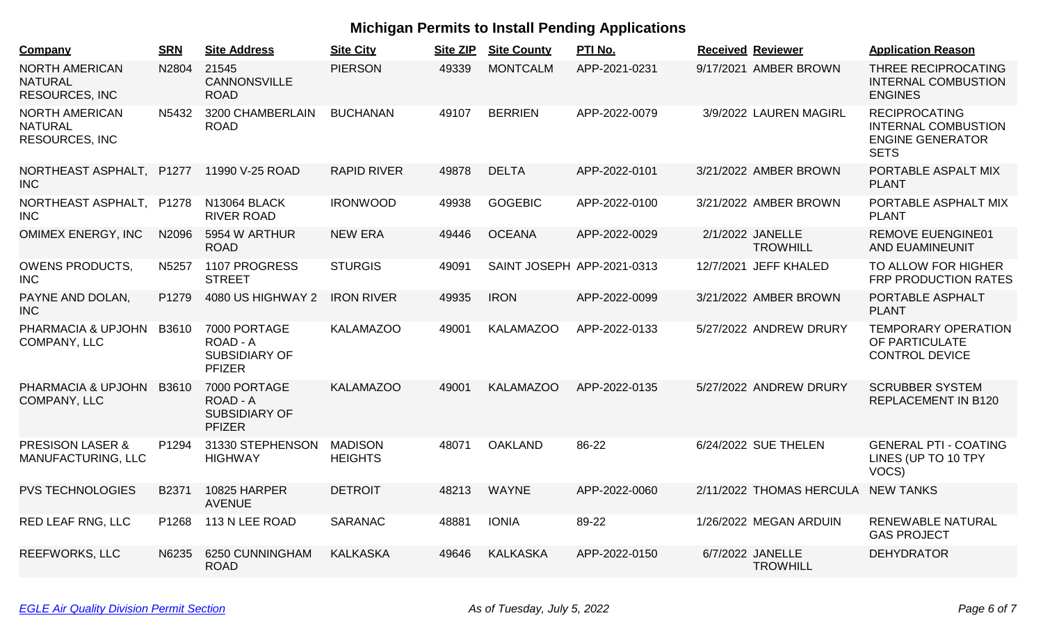| Company                                                          | <b>SRN</b> | <b>Site Address</b>                                               | <b>Site City</b>                 | <b>Site ZIP</b> | <b>Site County</b> | PTI No.                    | <b>Received Reviewer</b>            | <b>Application Reason</b>                                                                    |
|------------------------------------------------------------------|------------|-------------------------------------------------------------------|----------------------------------|-----------------|--------------------|----------------------------|-------------------------------------|----------------------------------------------------------------------------------------------|
| <b>NORTH AMERICAN</b><br><b>NATURAL</b><br><b>RESOURCES, INC</b> | N2804      | 21545<br>CANNONSVILLE<br><b>ROAD</b>                              | <b>PIERSON</b>                   | 49339           | <b>MONTCALM</b>    | APP-2021-0231              | 9/17/2021 AMBER BROWN               | THREE RECIPROCATING<br><b>INTERNAL COMBUSTION</b><br><b>ENGINES</b>                          |
| <b>NORTH AMERICAN</b><br><b>NATURAL</b><br>RESOURCES, INC        | N5432      | 3200 CHAMBERLAIN<br><b>ROAD</b>                                   | <b>BUCHANAN</b>                  | 49107           | <b>BERRIEN</b>     | APP-2022-0079              | 3/9/2022 LAUREN MAGIRL              | <b>RECIPROCATING</b><br><b>INTERNAL COMBUSTION</b><br><b>ENGINE GENERATOR</b><br><b>SETS</b> |
| NORTHEAST ASPHALT,<br><b>INC</b>                                 | P1277      | 11990 V-25 ROAD                                                   | <b>RAPID RIVER</b>               | 49878           | <b>DELTA</b>       | APP-2022-0101              | 3/21/2022 AMBER BROWN               | PORTABLE ASPALT MIX<br><b>PLANT</b>                                                          |
| NORTHEAST ASPHALT,<br><b>INC</b>                                 | P1278      | N13064 BLACK<br><b>RIVER ROAD</b>                                 | <b>IRONWOOD</b>                  | 49938           | <b>GOGEBIC</b>     | APP-2022-0100              | 3/21/2022 AMBER BROWN               | PORTABLE ASPHALT MIX<br><b>PLANT</b>                                                         |
| <b>OMIMEX ENERGY, INC</b>                                        | N2096      | 5954 W ARTHUR<br><b>ROAD</b>                                      | <b>NEW ERA</b>                   | 49446           | <b>OCEANA</b>      | APP-2022-0029              | 2/1/2022 JANELLE<br><b>TROWHILL</b> | <b>REMOVE EUENGINE01</b><br><b>AND EUAMINEUNIT</b>                                           |
| <b>OWENS PRODUCTS,</b><br><b>INC</b>                             | N5257      | 1107 PROGRESS<br><b>STREET</b>                                    | <b>STURGIS</b>                   | 49091           |                    | SAINT JOSEPH APP-2021-0313 | 12/7/2021 JEFF KHALED               | TO ALLOW FOR HIGHER<br>FRP PRODUCTION RATES                                                  |
| PAYNE AND DOLAN,<br><b>INC</b>                                   | P1279      | 4080 US HIGHWAY 2                                                 | <b>IRON RIVER</b>                | 49935           | <b>IRON</b>        | APP-2022-0099              | 3/21/2022 AMBER BROWN               | PORTABLE ASPHALT<br><b>PLANT</b>                                                             |
| PHARMACIA & UPJOHN<br><b>COMPANY, LLC</b>                        | B3610      | 7000 PORTAGE<br>ROAD - A<br><b>SUBSIDIARY OF</b><br><b>PFIZER</b> | <b>KALAMAZOO</b>                 | 49001           | <b>KALAMAZOO</b>   | APP-2022-0133              | 5/27/2022 ANDREW DRURY              | <b>TEMPORARY OPERATION</b><br>OF PARTICULATE<br><b>CONTROL DEVICE</b>                        |
| PHARMACIA & UPJOHN<br><b>COMPANY, LLC</b>                        | B3610      | 7000 PORTAGE<br>ROAD - A<br><b>SUBSIDIARY OF</b><br><b>PFIZER</b> | <b>KALAMAZOO</b>                 | 49001           | <b>KALAMAZOO</b>   | APP-2022-0135              | 5/27/2022 ANDREW DRURY              | <b>SCRUBBER SYSTEM</b><br><b>REPLACEMENT IN B120</b>                                         |
| <b>PRESISON LASER &amp;</b><br>MANUFACTURING, LLC                | P1294      | 31330 STEPHENSON<br><b>HIGHWAY</b>                                | <b>MADISON</b><br><b>HEIGHTS</b> | 48071           | <b>OAKLAND</b>     | 86-22                      | 6/24/2022 SUE THELEN                | <b>GENERAL PTI - COATING</b><br>LINES (UP TO 10 TPY<br>VOCS)                                 |
| <b>PVS TECHNOLOGIES</b>                                          | B2371      | <b>10825 HARPER</b><br><b>AVENUE</b>                              | <b>DETROIT</b>                   | 48213           | <b>WAYNE</b>       | APP-2022-0060              | 2/11/2022 THOMAS HERCULA            | <b>NEW TANKS</b>                                                                             |
| RED LEAF RNG, LLC                                                | P1268      | 113 N LEE ROAD                                                    | <b>SARANAC</b>                   | 48881           | <b>IONIA</b>       | 89-22                      | 1/26/2022 MEGAN ARDUIN              | RENEWABLE NATURAL<br><b>GAS PROJECT</b>                                                      |
| <b>REEFWORKS, LLC</b>                                            | N6235      | 6250 CUNNINGHAM<br><b>ROAD</b>                                    | <b>KALKASKA</b>                  | 49646           | <b>KALKASKA</b>    | APP-2022-0150              | 6/7/2022 JANELLE<br><b>TROWHILL</b> | <b>DEHYDRATOR</b>                                                                            |
|                                                                  |            |                                                                   |                                  |                 |                    |                            |                                     |                                                                                              |